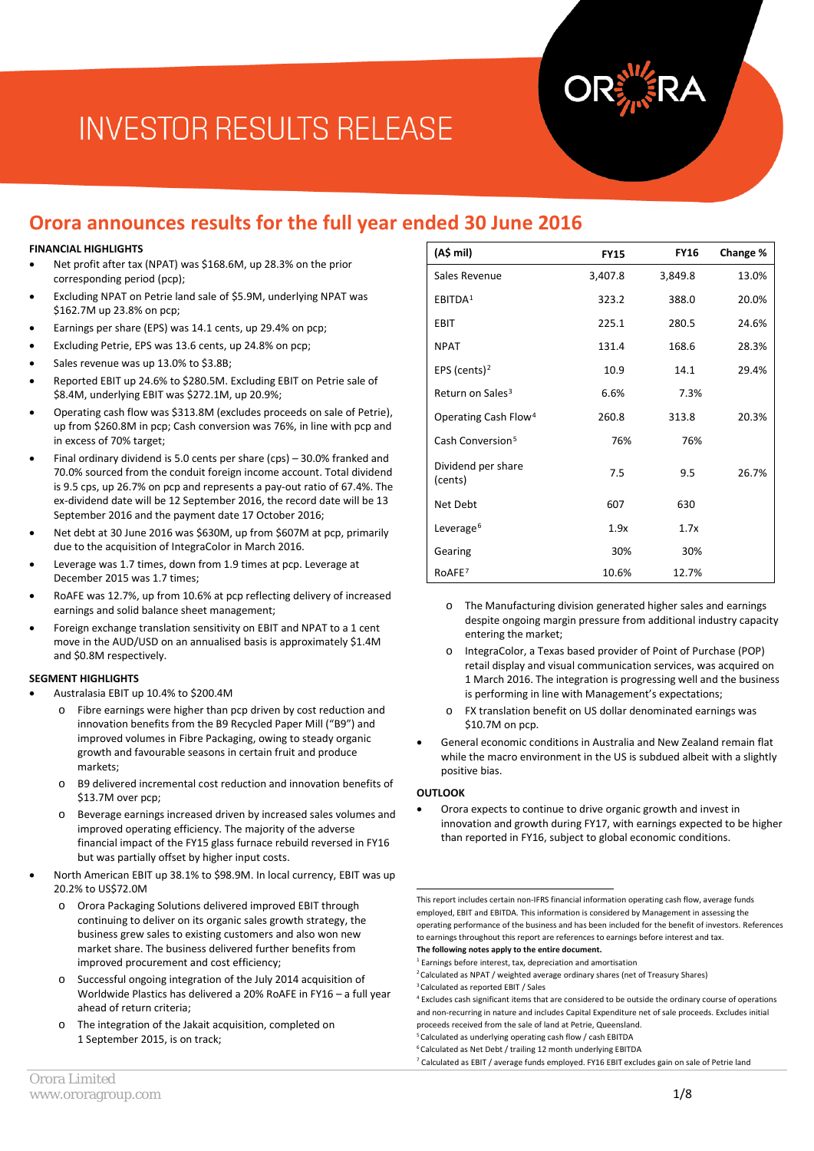# **Orora announces results for the full year ended 30 June 2016**

#### **FINANCIAL HIGHLIGHTS**

- Net profit after tax (NPAT) was \$168.6M, up 28.3% on the prior corresponding period (pcp);
- Excluding NPAT on Petrie land sale of \$5.9M, underlying NPAT was \$162.7M up 23.8% on pcp;
- Earnings per share (EPS) was 14.1 cents, up 29.4% on pcp;
- Excluding Petrie, EPS was 13.6 cents, up 24.8% on pcp;
- Sales revenue was up 13.0% to \$3.8B;
- Reported EBIT up 24.6% to \$280.5M. Excluding EBIT on Petrie sale of \$8.4M, underlying EBIT was \$272.1M, up 20.9%;
- Operating cash flow was \$313.8M (excludes proceeds on sale of Petrie), up from \$260.8M in pcp; Cash conversion was 76%, in line with pcp and in excess of 70% target;
- Final ordinary dividend is 5.0 cents per share (cps) 30.0% franked and 70.0% sourced from the conduit foreign income account. Total dividend is 9.5 cps, up 26.7% on pcp and represents a pay-out ratio of 67.4%. The ex-dividend date will be 12 September 2016, the record date will be 13 September 2016 and the payment date 17 October 2016;
- Net debt at 30 June 2016 was \$630M, up from \$607M at pcp, primarily due to the acquisition of IntegraColor in March 2016.
- Leverage was 1.7 times, down from 1.9 times at pcp. Leverage at December 2015 was 1.7 times;
- RoAFE was 12.7%, up from 10.6% at pcp reflecting delivery of increased earnings and solid balance sheet management;
- Foreign exchange translation sensitivity on EBIT and NPAT to a 1 cent move in the AUD/USD on an annualised basis is approximately \$1.4M and \$0.8M respectively.

#### **SEGMENT HIGHLIGHTS**

- Australasia EBIT up 10.4% to \$200.4M
	- o Fibre earnings were higher than pcp driven by cost reduction and innovation benefits from the B9 Recycled Paper Mill ("B9") and improved volumes in Fibre Packaging, owing to steady organic growth and favourable seasons in certain fruit and produce markets;
	- o B9 delivered incremental cost reduction and innovation benefits of \$13.7M over pcp;
	- o Beverage earnings increased driven by increased sales volumes and improved operating efficiency. The majority of the adverse financial impact of the FY15 glass furnace rebuild reversed in FY16 but was partially offset by higher input costs.
- <span id="page-0-6"></span><span id="page-0-5"></span><span id="page-0-4"></span><span id="page-0-3"></span><span id="page-0-2"></span><span id="page-0-1"></span><span id="page-0-0"></span>• North American EBIT up 38.1% to \$98.9M. In local currency, EBIT was up 20.2% to US\$72.0M
	- o Orora Packaging Solutions delivered improved EBIT through continuing to deliver on its organic sales growth strategy, the business grew sales to existing customers and also won new market share. The business delivered further benefits from improved procurement and cost efficiency;
	- o Successful ongoing integration of the July 2014 acquisition of Worldwide Plastics has delivered a 20% RoAFE in FY16 – a full year ahead of return criteria;
	- o The integration of the Jakait acquisition, completed on 1 September 2015, is on track;

| (A\$ mil)                        | <b>FY15</b> | <b>FY16</b> | Change % |
|----------------------------------|-------------|-------------|----------|
| Sales Revenue                    | 3,407.8     | 3,849.8     | 13.0%    |
| EBITDA <sup>1</sup>              | 323.2       | 388.0       | 20.0%    |
| <b>EBIT</b>                      | 225.1       | 280.5       | 24.6%    |
| <b>NPAT</b>                      | 131.4       | 168.6       | 28.3%    |
| EPS (cents) <sup>2</sup>         | 10.9        | 14.1        | 29.4%    |
| Return on Sales <sup>3</sup>     | 6.6%        | 7.3%        |          |
| Operating Cash Flow <sup>4</sup> | 260.8       | 313.8       | 20.3%    |
| Cash Conversion <sup>5</sup>     | 76%         | 76%         |          |
| Dividend per share<br>(cents)    | 7.5         | 9.5         | 26.7%    |
| Net Debt                         | 607         | 630         |          |
| Leverage <sup>6</sup>            | 1.9x        | 1.7x        |          |
| Gearing                          | 30%         | 30%         |          |
| RoAFE7                           | 10.6%       | 12.7%       |          |

- o The Manufacturing division generated higher sales and earnings despite ongoing margin pressure from additional industry capacity entering the market;
- IntegraColor, a Texas based provider of Point of Purchase (POP) retail display and visual communication services, was acquired on 1 March 2016. The integration is progressing well and the business is performing in line with Management's expectations;
- o FX translation benefit on US dollar denominated earnings was \$10.7M on pcp.
- General economic conditions in Australia and New Zealand remain flat while the macro environment in the US is subdued albeit with a slightly positive bias.

#### **OUTLOOK**

• Orora expects to continue to drive organic growth and invest in innovation and growth during FY17, with earnings expected to be higher than reported in FY16, subject to global economic conditions.

This report includes certain non-IFRS financial information operating cash flow, average funds employed, EBIT and EBITDA. This information is considered by Management in assessing the operating performance of the business and has been included for the benefit of investors. References to earnings throughout this report are references to earnings before interest and tax. **The following notes apply to the entire document.** 1

<sup>4</sup> Excludes cash significant items that are considered to be outside the ordinary course of operations and non-recurring in nature and includes Capital Expenditure net of sale proceeds. Excludes initial proceeds received from the sale of land at Petrie, Queensland.

<sup>5</sup> Calculated as underlying operating cash flow / cash EBITDA

<sup>&</sup>lt;sup>1</sup> Earnings before interest, tax, depreciation and amortisation

<sup>&</sup>lt;sup>2</sup> Calculated as NPAT / weighted average ordinary shares (net of Treasury Shares) <sup>3</sup> Calculated as reported EBIT / Sales

<sup>6</sup> Calculated as Net Debt / trailing 12 month underlying EBITDA

<sup>7</sup> Calculated as EBIT / average funds employed. FY16 EBIT excludes gain on sale of Petrie land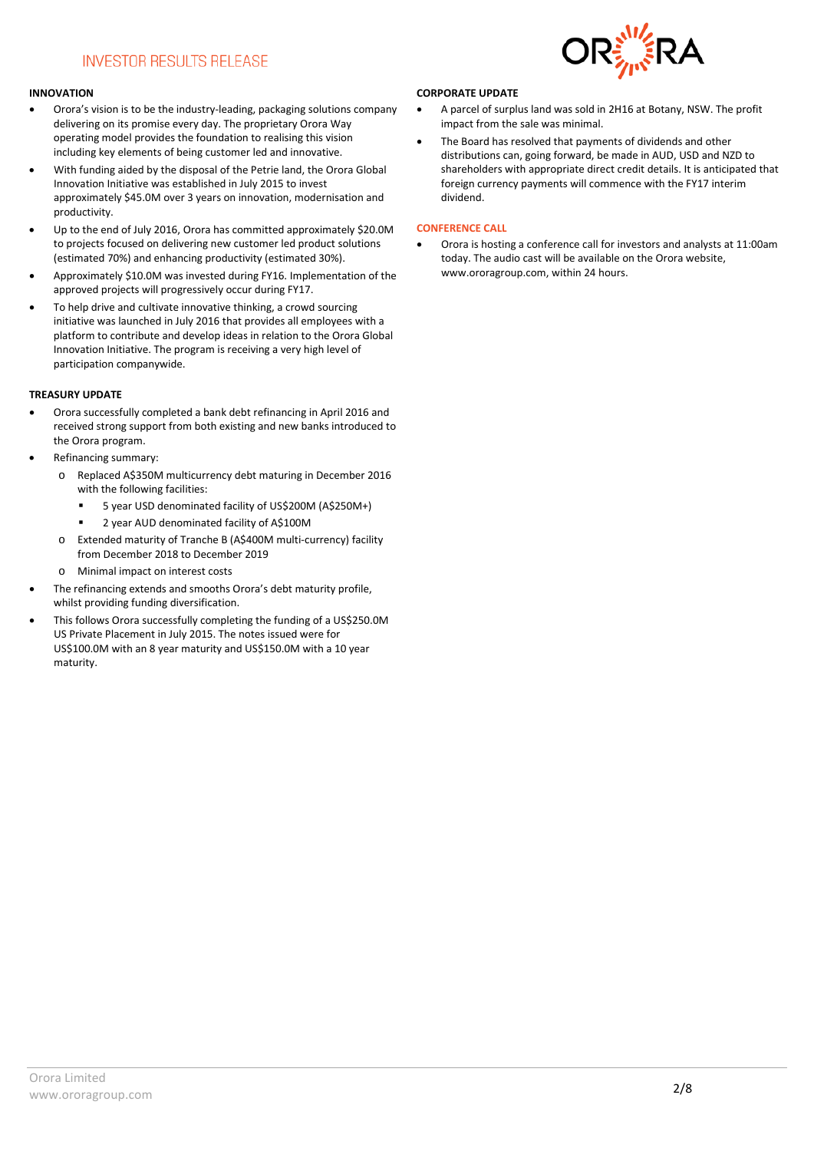#### **INNOVATION**

- Orora's vision is to be the industry-leading, packaging solutions company delivering on its promise every day. The proprietary Orora Way operating model provides the foundation to realising this vision including key elements of being customer led and innovative.
- With funding aided by the disposal of the Petrie land, the Orora Global Innovation Initiative was established in July 2015 to invest approximately \$45.0M over 3 years on innovation, modernisation and productivity.
- Up to the end of July 2016, Orora has committed approximately \$20.0M to projects focused on delivering new customer led product solutions (estimated 70%) and enhancing productivity (estimated 30%).
- Approximately \$10.0M was invested during FY16. Implementation of the approved projects will progressively occur during FY17.
- To help drive and cultivate innovative thinking, a crowd sourcing initiative was launched in July 2016 that provides all employees with a platform to contribute and develop ideas in relation to the Orora Global Innovation Initiative. The program is receiving a very high level of participation companywide.

#### **TREASURY UPDATE**

- Orora successfully completed a bank debt refinancing in April 2016 and received strong support from both existing and new banks introduced to the Orora program.
- Refinancing summary:
	- o Replaced A\$350M multicurrency debt maturing in December 2016 with the following facilities:
		- 5 year USD denominated facility of US\$200M (A\$250M+)
		- 2 year AUD denominated facility of A\$100M
	- o Extended maturity of Tranche B (A\$400M multi-currency) facility from December 2018 to December 2019
	- o Minimal impact on interest costs
- The refinancing extends and smooths Orora's debt maturity profile, whilst providing funding diversification.
- This follows Orora successfully completing the funding of a US\$250.0M US Private Placement in July 2015. The notes issued were for US\$100.0M with an 8 year maturity and US\$150.0M with a 10 year maturity.

#### **CORPORATE UPDATE**

- A parcel of surplus land was sold in 2H16 at Botany, NSW. The profit impact from the sale was minimal.
- The Board has resolved that payments of dividends and other distributions can, going forward, be made in AUD, USD and NZD to shareholders with appropriate direct credit details. It is anticipated that foreign currency payments will commence with the FY17 interim dividend.

#### **CONFERENCE CALL**

• Orora is hosting a conference call for investors and analysts at 11:00am today. The audio cast will be available on the Orora website, [www.ororagroup.com,](http://www.ororagroup.com/) within 24 hours.

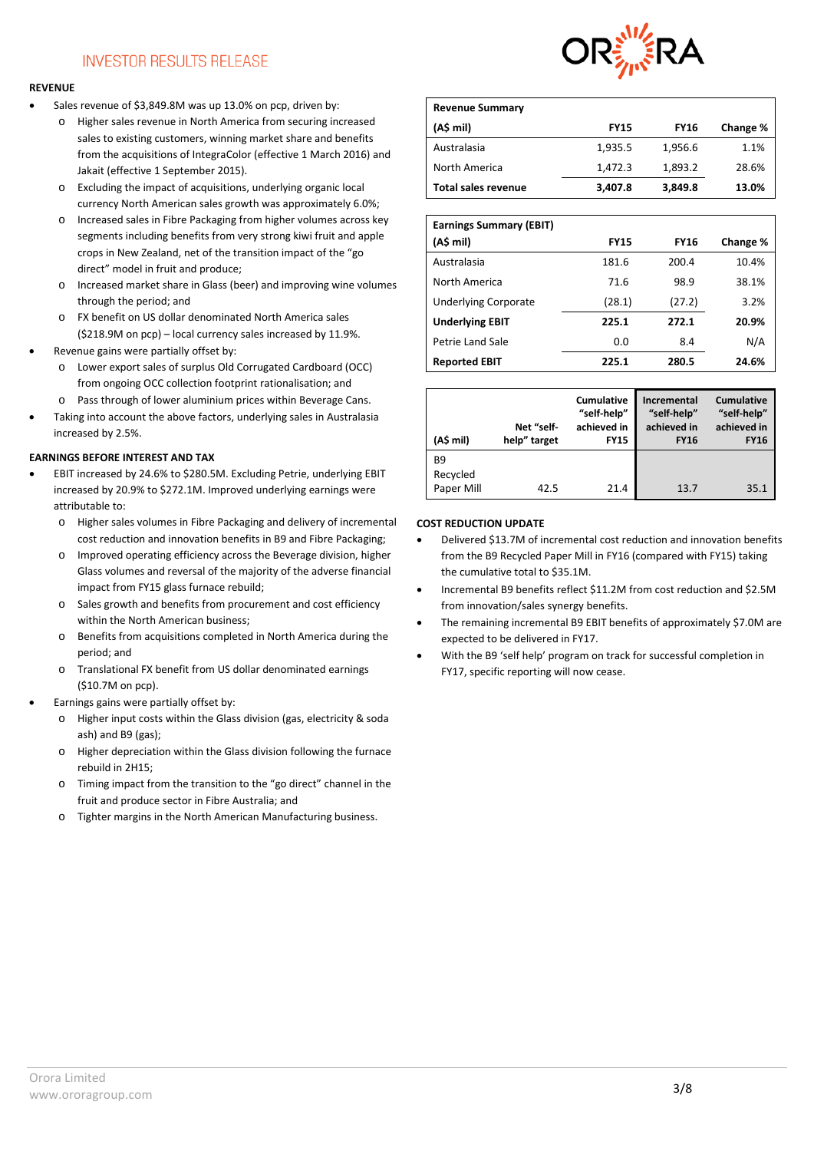#### **REVENUE**

- Sales revenue of \$3,849.8M was up 13.0% on pcp, driven by:
	- o Higher sales revenue in North America from securing increased sales to existing customers, winning market share and benefits from the acquisitions of IntegraColor (effective 1 March 2016) and Jakait (effective 1 September 2015).
	- o Excluding the impact of acquisitions, underlying organic local currency North American sales growth was approximately 6.0%;
	- o Increased sales in Fibre Packaging from higher volumes across key segments including benefits from very strong kiwi fruit and apple crops in New Zealand, net of the transition impact of the "go direct" model in fruit and produce;
	- o Increased market share in Glass (beer) and improving wine volumes through the period; and
	- o FX benefit on US dollar denominated North America sales (\$218.9M on pcp) – local currency sales increased by 11.9%.
- Revenue gains were partially offset by:
	- o Lower export sales of surplus Old Corrugated Cardboard (OCC) from ongoing OCC collection footprint rationalisation; and
	- o Pass through of lower aluminium prices within Beverage Cans.
- Taking into account the above factors, underlying sales in Australasia increased by 2.5%.

#### **EARNINGS BEFORE INTEREST AND TAX**

- EBIT increased by 24.6% to \$280.5M. Excluding Petrie, underlying EBIT increased by 20.9% to \$272.1M. Improved underlying earnings were attributable to:
	- o Higher sales volumes in Fibre Packaging and delivery of incremental cost reduction and innovation benefits in B9 and Fibre Packaging;
	- o Improved operating efficiency across the Beverage division, higher Glass volumes and reversal of the majority of the adverse financial impact from FY15 glass furnace rebuild;
	- o Sales growth and benefits from procurement and cost efficiency within the North American business;
	- o Benefits from acquisitions completed in North America during the period; and
	- o Translational FX benefit from US dollar denominated earnings (\$10.7M on pcp).
- Earnings gains were partially offset by:
	- o Higher input costs within the Glass division (gas, electricity & soda ash) and B9 (gas);
	- o Higher depreciation within the Glass division following the furnace rebuild in 2H15;
	- o Timing impact from the transition to the "go direct" channel in the fruit and produce sector in Fibre Australia; and
	- o Tighter margins in the North American Manufacturing business.



| <b>Revenue Summary</b>     |             |             |          |
|----------------------------|-------------|-------------|----------|
| (A\$ mil)                  | <b>FY15</b> | <b>FY16</b> | Change % |
| Australasia                | 1,935.5     | 1,956.6     | 1.1%     |
| North America              | 1,472.3     | 1,893.2     | 28.6%    |
| <b>Total sales revenue</b> | 3,407.8     | 3,849.8     | 13.0%    |

| <b>Earnings Summary (EBIT)</b> |             |             |          |
|--------------------------------|-------------|-------------|----------|
| (A\$ mil)                      | <b>FY15</b> | <b>FY16</b> | Change % |
| Australasia                    | 181.6       | 200.4       | 10.4%    |
| North America                  | 71.6        | 98.9        | 38.1%    |
| <b>Underlying Corporate</b>    | (28.1)      | (27.2)      | 3.2%     |
| <b>Underlying EBIT</b>         | 225.1       | 272.1       | 20.9%    |
| Petrie Land Sale               | 0.0         | 8.4         | N/A      |
| <b>Reported EBIT</b>           | 225.1       | 280.5       | 24.6%    |

| (A\$ mil)                           | Net "self-<br>help" target | <b>Cumulative</b><br>"self-help"<br>achieved in<br><b>FY15</b> | Incremental<br>"self-help"<br>achieved in<br><b>FY16</b> | <b>Cumulative</b><br>"self-help"<br>achieved in<br><b>FY16</b> |
|-------------------------------------|----------------------------|----------------------------------------------------------------|----------------------------------------------------------|----------------------------------------------------------------|
| <b>B9</b><br>Recycled<br>Paper Mill | 42.5                       | 21.4                                                           | 13.7                                                     | 35.1                                                           |

#### **COST REDUCTION UPDATE**

- Delivered \$13.7M of incremental cost reduction and innovation benefits from the B9 Recycled Paper Mill in FY16 (compared with FY15) taking the cumulative total to \$35.1M.
- Incremental B9 benefits reflect \$11.2M from cost reduction and \$2.5M from innovation/sales synergy benefits.
- The remaining incremental B9 EBIT benefits of approximately \$7.0M are expected to be delivered in FY17.
- With the B9 'self help' program on track for successful completion in FY17, specific reporting will now cease.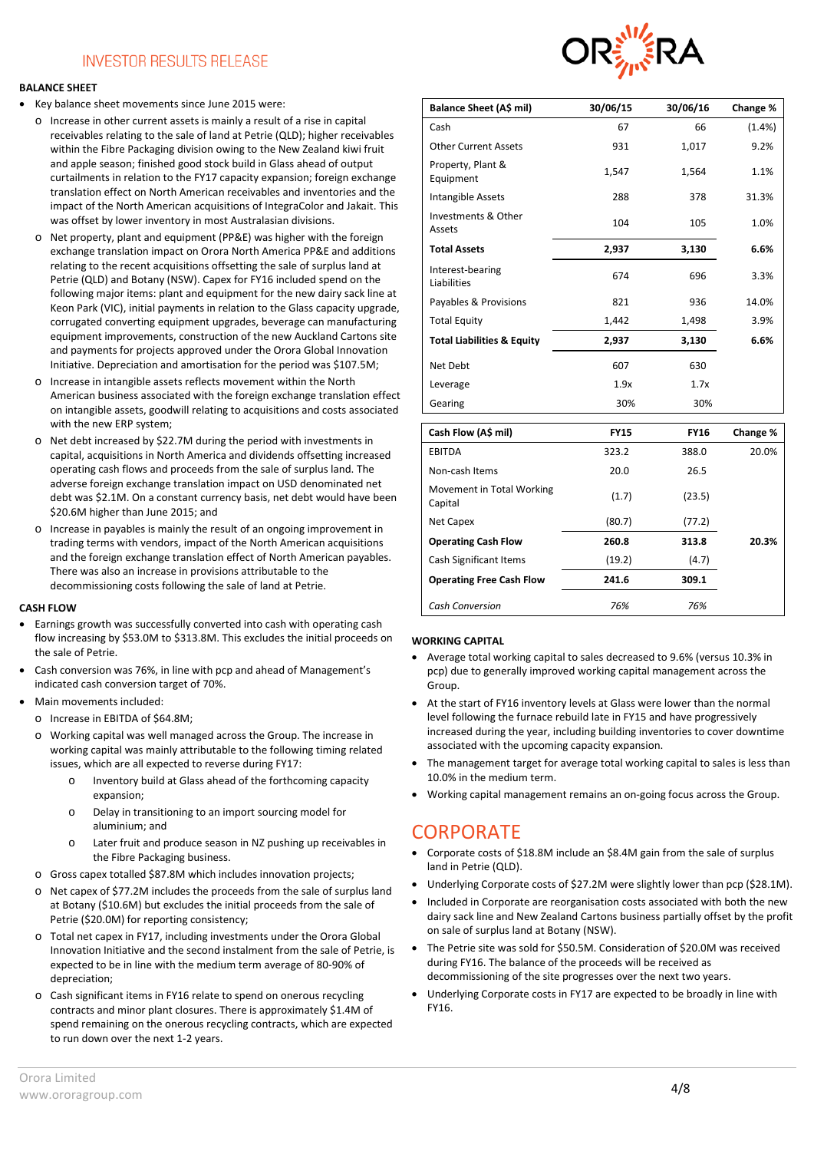#### **BALANCE SHEET**

- Key balance sheet movements since June 2015 were:
	- o Increase in other current assets is mainly a result of a rise in capital receivables relating to the sale of land at Petrie (QLD); higher receivables within the Fibre Packaging division owing to the New Zealand kiwi fruit and apple season; finished good stock build in Glass ahead of output curtailments in relation to the FY17 capacity expansion; foreign exchange translation effect on North American receivables and inventories and the impact of the North American acquisitions of IntegraColor and Jakait. This was offset by lower inventory in most Australasian divisions.
	- o Net property, plant and equipment (PP&E) was higher with the foreign exchange translation impact on Orora North America PP&E and additions relating to the recent acquisitions offsetting the sale of surplus land at Petrie (QLD) and Botany (NSW). Capex for FY16 included spend on the following major items: plant and equipment for the new dairy sack line at Keon Park (VIC), initial payments in relation to the Glass capacity upgrade, corrugated converting equipment upgrades, beverage can manufacturing equipment improvements, construction of the new Auckland Cartons site and payments for projects approved under the Orora Global Innovation Initiative. Depreciation and amortisation for the period was \$107.5M;
	- o Increase in intangible assets reflects movement within the North American business associated with the foreign exchange translation effect on intangible assets, goodwill relating to acquisitions and costs associated with the new ERP system;
	- o Net debt increased by \$22.7M during the period with investments in capital, acquisitions in North America and dividends offsetting increased operating cash flows and proceeds from the sale of surplus land. The adverse foreign exchange translation impact on USD denominated net debt was \$2.1M. On a constant currency basis, net debt would have been \$20.6M higher than June 2015; and
	- o Increase in payables is mainly the result of an ongoing improvement in trading terms with vendors, impact of the North American acquisitions and the foreign exchange translation effect of North American payables. There was also an increase in provisions attributable to the decommissioning costs following the sale of land at Petrie.

#### **CASH FLOW**

- Earnings growth was successfully converted into cash with operating cash flow increasing by \$53.0M to \$313.8M. This excludes the initial proceeds on the sale of Petrie.
- Cash conversion was 76%, in line with pcp and ahead of Management's indicated cash conversion target of 70%.
- Main movements included:
	- $\circ$  Increase in FRITDA of \$64.8M;
	- o Working capital was well managed across the Group. The increase in working capital was mainly attributable to the following timing related issues, which are all expected to reverse during FY17:
		- o Inventory build at Glass ahead of the forthcoming capacity expansion;
		- o Delay in transitioning to an import sourcing model for aluminium; and
		- o Later fruit and produce season in NZ pushing up receivables in the Fibre Packaging business.
	- o Gross capex totalled \$87.8M which includes innovation projects;
	- o Net capex of \$77.2M includes the proceeds from the sale of surplus land at Botany (\$10.6M) but excludes the initial proceeds from the sale of Petrie (\$20.0M) for reporting consistency;
	- o Total net capex in FY17, including investments under the Orora Global Innovation Initiative and the second instalment from the sale of Petrie, is expected to be in line with the medium term average of 80-90% of depreciation;
	- o Cash significant items in FY16 relate to spend on onerous recycling contracts and minor plant closures. There is approximately \$1.4M of spend remaining on the onerous recycling contracts, which are expected to run down over the next 1-2 years.



| Balance Sheet (A\$ mil)               | 30/06/15    | 30/06/16    | Change % |
|---------------------------------------|-------------|-------------|----------|
| Cash                                  | 67          | 66          | (1.4% )  |
| <b>Other Current Assets</b>           | 931         | 1,017       | 9.2%     |
| Property, Plant &<br>Equipment        | 1,547       | 1,564       | 1.1%     |
| Intangible Assets                     | 288         | 378         | 31.3%    |
| Investments & Other<br>Assets         | 104         | 105         | 1.0%     |
| <b>Total Assets</b>                   | 2,937       | 3,130       | 6.6%     |
| Interest-bearing<br>Liabilities       | 674         | 696         | 3.3%     |
| Payables & Provisions                 | 821         | 936         | 14.0%    |
| <b>Total Equity</b>                   | 1,442       | 1,498       | 3.9%     |
| <b>Total Liabilities &amp; Equity</b> | 2,937       | 3,130       | 6.6%     |
| Net Debt                              | 607         | 630         |          |
| Leverage                              | 1.9x        | 1.7x        |          |
| Gearing                               | 30%         | 30%         |          |
| Cash Flow (A\$ mil)                   | <b>FY15</b> | <b>FY16</b> | Change % |
| <b>EBITDA</b>                         | 323.2       | 388.0       | 20.0%    |
| Non-cash Items                        | 20.0        | 26.5        |          |
| Movement in Total Working<br>Capital  | (1.7)       | (23.5)      |          |
| Net Capex                             | (80.7)      | (77.2)      |          |
| <b>Operating Cash Flow</b>            | 260.8       | 313.8       | 20.3%    |
| <b>Cash Significant Items</b>         | (19.2)      | (4.7)       |          |
| <b>Operating Free Cash Flow</b>       | 241.6       | 309.1       |          |
| <b>Cash Conversion</b>                | 76%         | 76%         |          |

#### **WORKING CAPITAL**

- Average total working capital to sales decreased to 9.6% (versus 10.3% in pcp) due to generally improved working capital management across the Group.
- At the start of FY16 inventory levels at Glass were lower than the normal level following the furnace rebuild late in FY15 and have progressively increased during the year, including building inventories to cover downtime associated with the upcoming capacity expansion.
- The management target for average total working capital to sales is less than 10.0% in the medium term.
- Working capital management remains an on-going focus across the Group.

# **CORPORATE**

- Corporate costs of \$18.8M include an \$8.4M gain from the sale of surplus land in Petrie (QLD).
- Underlying Corporate costs of \$27.2M were slightly lower than pcp (\$28.1M).
- Included in Corporate are reorganisation costs associated with both the new dairy sack line and New Zealand Cartons business partially offset by the profit on sale of surplus land at Botany (NSW).
- The Petrie site was sold for \$50.5M. Consideration of \$20.0M was received during FY16. The balance of the proceeds will be received as decommissioning of the site progresses over the next two years.
- Underlying Corporate costs in FY17 are expected to be broadly in line with FY16.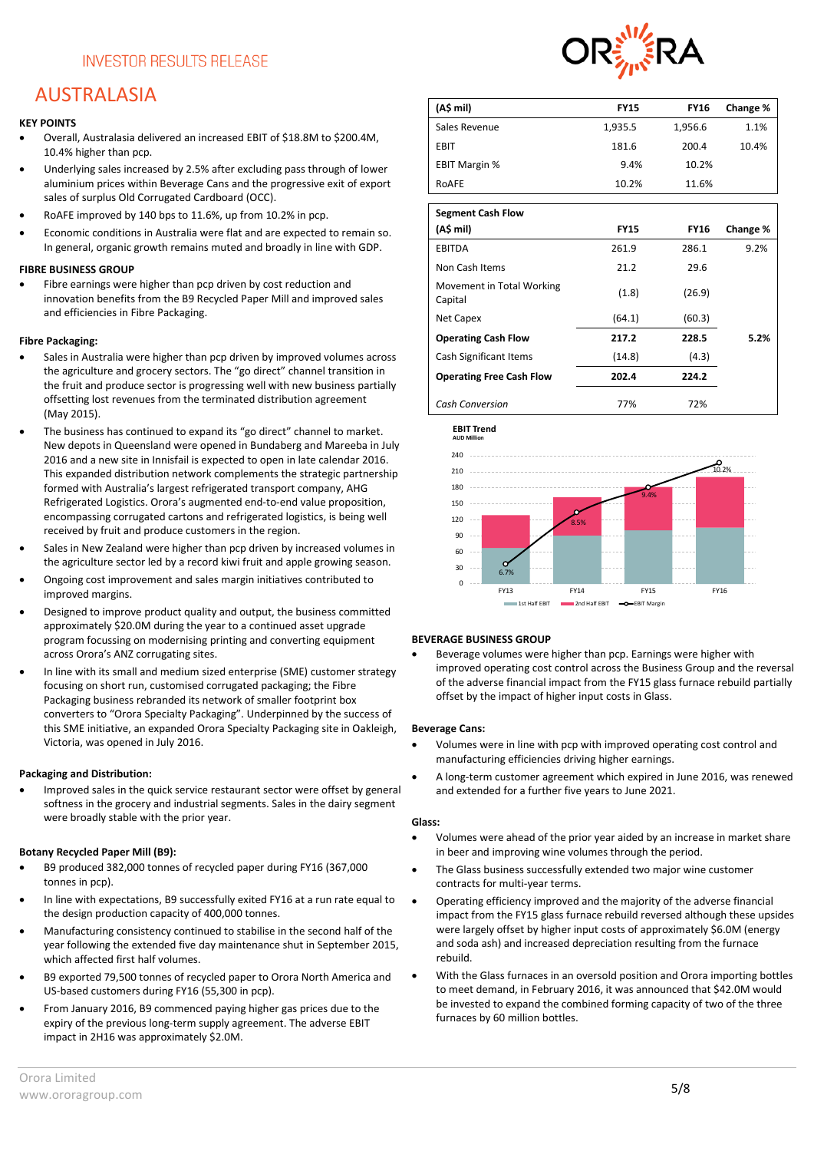# AUSTRALASIA

#### **KEY POINTS**

- Overall, Australasia delivered an increased EBIT of \$18.8M to \$200.4M, 10.4% higher than pcp.
- Underlying sales increased by 2.5% after excluding pass through of lower aluminium prices within Beverage Cans and the progressive exit of export sales of surplus Old Corrugated Cardboard (OCC).
- RoAFE improved by 140 bps to 11.6%, up from 10.2% in pcp.
- Economic conditions in Australia were flat and are expected to remain so. In general, organic growth remains muted and broadly in line with GDP.

#### **FIBRE BUSINESS GROUP**

Fibre earnings were higher than pcp driven by cost reduction and innovation benefits from the B9 Recycled Paper Mill and improved sales and efficiencies in Fibre Packaging.

#### **Fibre Packaging:**

- Sales in Australia were higher than pcp driven by improved volumes across the agriculture and grocery sectors. The "go direct" channel transition in the fruit and produce sector is progressing well with new business partially offsetting lost revenues from the terminated distribution agreement (May 2015).
- The business has continued to expand its "go direct" channel to market. New depots in Queensland were opened in Bundaberg and Mareeba in July 2016 and a new site in Innisfail is expected to open in late calendar 2016. This expanded distribution network complements the strategic partnership formed with Australia's largest refrigerated transport company, AHG Refrigerated Logistics. Orora's augmented end-to-end value proposition, encompassing corrugated cartons and refrigerated logistics, is being well received by fruit and produce customers in the region.
- Sales in New Zealand were higher than pcp driven by increased volumes in the agriculture sector led by a record kiwi fruit and apple growing season.
- Ongoing cost improvement and sales margin initiatives contributed to improved margins.
- Designed to improve product quality and output, the business committed approximately \$20.0M during the year to a continued asset upgrade program focussing on modernising printing and converting equipment across Orora's ANZ corrugating sites.
- In line with its small and medium sized enterprise (SME) customer strategy focusing on short run, customised corrugated packaging; the Fibre Packaging business rebranded its network of smaller footprint box converters to "Orora Specialty Packaging". Underpinned by the success of this SME initiative, an expanded Orora Specialty Packaging site in Oakleigh, Victoria, was opened in July 2016.

#### **Packaging and Distribution:**

• Improved sales in the quick service restaurant sector were offset by general softness in the grocery and industrial segments. Sales in the dairy segment were broadly stable with the prior year.

#### **Botany Recycled Paper Mill (B9):**

- B9 produced 382,000 tonnes of recycled paper during FY16 (367,000 tonnes in pcp).
- In line with expectations, B9 successfully exited FY16 at a run rate equal to the design production capacity of 400,000 tonnes.
- Manufacturing consistency continued to stabilise in the second half of the year following the extended five day maintenance shut in September 2015, which affected first half volumes.
- B9 exported 79,500 tonnes of recycled paper to Orora North America and US-based customers during FY16 (55,300 in pcp).
- From January 2016, B9 commenced paying higher gas prices due to the expiry of the previous long-term supply agreement. The adverse EBIT impact in 2H16 was approximately \$2.0M.



| (A\$ mil)                            | <b>FY15</b> | <b>FY16</b> | Change % |
|--------------------------------------|-------------|-------------|----------|
| Sales Revenue                        | 1,935.5     | 1,956.6     | 1.1%     |
| EBIT                                 | 181.6       | 200.4       | 10.4%    |
| <b>EBIT Margin %</b>                 | 9.4%        | 10.2%       |          |
| ROAFE                                | 10.2%       | 11.6%       |          |
|                                      |             |             |          |
| <b>Segment Cash Flow</b>             |             |             |          |
| (A\$ mil)                            | <b>FY15</b> | <b>FY16</b> | Change % |
| <b>EBITDA</b>                        | 261.9       | 286.1       | 9.2%     |
| Non Cash Items                       | 21.2        | 29.6        |          |
| Movement in Total Working<br>Capital | (1.8)       | (26.9)      |          |
| Net Capex                            | (64.1)      | (60.3)      |          |
| <b>Operating Cash Flow</b>           | 217.2       | 228.5       | 5.2%     |
| Cash Significant Items               | (14.8)      | (4.3)       |          |
| <b>Operating Free Cash Flow</b>      | 202.4       | 224.2       |          |
| Cash Conversion                      | 77%         | 72%         |          |



#### **BEVERAGE BUSINESS GROUP**

• Beverage volumes were higher than pcp. Earnings were higher with improved operating cost control across the Business Group and the reversal of the adverse financial impact from the FY15 glass furnace rebuild partially offset by the impact of higher input costs in Glass.

#### **Beverage Cans:**

- Volumes were in line with pcp with improved operating cost control and manufacturing efficiencies driving higher earnings.
- A long-term customer agreement which expired in June 2016, was renewed and extended for a further five years to June 2021.

#### **Glass:**

- Volumes were ahead of the prior year aided by an increase in market share in beer and improving wine volumes through the period.
- The Glass business successfully extended two major wine customer contracts for multi-year terms.
- Operating efficiency improved and the majority of the adverse financial impact from the FY15 glass furnace rebuild reversed although these upsides were largely offset by higher input costs of approximately \$6.0M (energy and soda ash) and increased depreciation resulting from the furnace rebuild.
- With the Glass furnaces in an oversold position and Orora importing bottles to meet demand, in February 2016, it was announced that \$42.0M would be invested to expand the combined forming capacity of two of the three furnaces by 60 million bottles.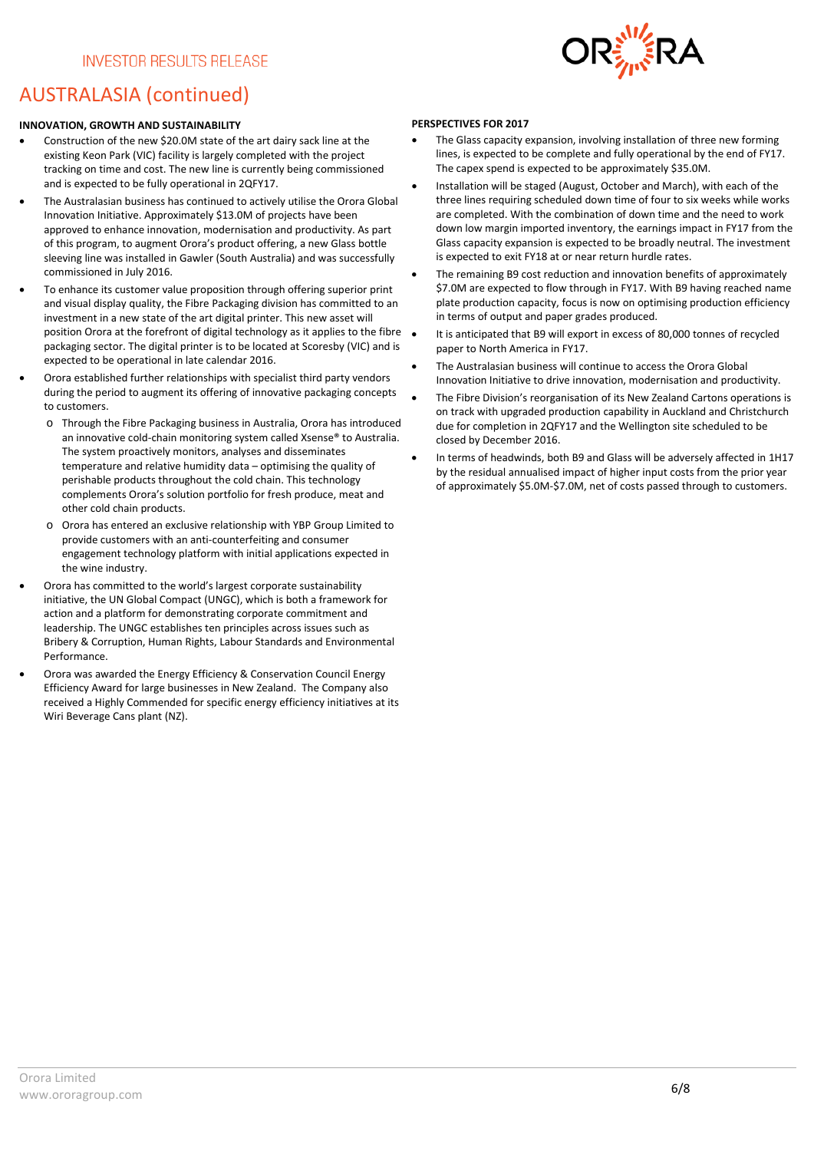

# AUSTRALASIA (continued)

#### **INNOVATION, GROWTH AND SUSTAINABILITY**

- Construction of the new \$20.0M state of the art dairy sack line at the existing Keon Park (VIC) facility is largely completed with the project tracking on time and cost. The new line is currently being commissioned and is expected to be fully operational in 2QFY17.
- The Australasian business has continued to actively utilise the Orora Global Innovation Initiative. Approximately \$13.0M of projects have been approved to enhance innovation, modernisation and productivity. As part of this program, to augment Orora's product offering, a new Glass bottle sleeving line was installed in Gawler (South Australia) and was successfully commissioned in July 2016.
- To enhance its customer value proposition through offering superior print and visual display quality, the Fibre Packaging division has committed to an investment in a new state of the art digital printer. This new asset will position Orora at the forefront of digital technology as it applies to the fibre packaging sector. The digital printer is to be located at Scoresby (VIC) and is expected to be operational in late calendar 2016.
- Orora established further relationships with specialist third party vendors during the period to augment its offering of innovative packaging concepts to customers.
	- o Through the Fibre Packaging business in Australia, Orora has introduced an innovative cold-chain monitoring system called Xsense® to Australia. The system proactively monitors, analyses and disseminates temperature and relative humidity data – optimising the quality of perishable products throughout the cold chain. This technology complements Orora's solution portfolio for fresh produce, meat and other cold chain products.
	- o Orora has entered an exclusive relationship with YBP Group Limited to provide customers with an anti-counterfeiting and consumer engagement technology platform with initial applications expected in the wine industry.
- Orora has committed to the world's largest corporate sustainability initiative, the UN Global Compact (UNGC), which is both a framework for action and a platform for demonstrating corporate commitment and leadership. The UNGC establishes ten principles across issues such as Bribery & Corruption, Human Rights, Labour Standards and Environmental Performance.
- Orora was awarded the Energy Efficiency & Conservation Council Energy Efficiency Award for large businesses in New Zealand. The Company also received a Highly Commended for specific energy efficiency initiatives at its Wiri Beverage Cans plant (NZ).

#### **PERSPECTIVES FOR 2017**

- The Glass capacity expansion, involving installation of three new forming lines, is expected to be complete and fully operational by the end of FY17. The capex spend is expected to be approximately \$35.0M.
- Installation will be staged (August, October and March), with each of the three lines requiring scheduled down time of four to six weeks while works are completed. With the combination of down time and the need to work down low margin imported inventory, the earnings impact in FY17 from the Glass capacity expansion is expected to be broadly neutral. The investment is expected to exit FY18 at or near return hurdle rates.
- The remaining B9 cost reduction and innovation benefits of approximately \$7.0M are expected to flow through in FY17. With B9 having reached name plate production capacity, focus is now on optimising production efficiency in terms of output and paper grades produced.
- It is anticipated that B9 will export in excess of 80,000 tonnes of recycled paper to North America in FY17.
- The Australasian business will continue to access the Orora Global Innovation Initiative to drive innovation, modernisation and productivity.
- The Fibre Division's reorganisation of its New Zealand Cartons operations is on track with upgraded production capability in Auckland and Christchurch due for completion in 2QFY17 and the Wellington site scheduled to be closed by December 2016.
- In terms of headwinds, both B9 and Glass will be adversely affected in 1H17 by the residual annualised impact of higher input costs from the prior year of approximately \$5.0M-\$7.0M, net of costs passed through to customers.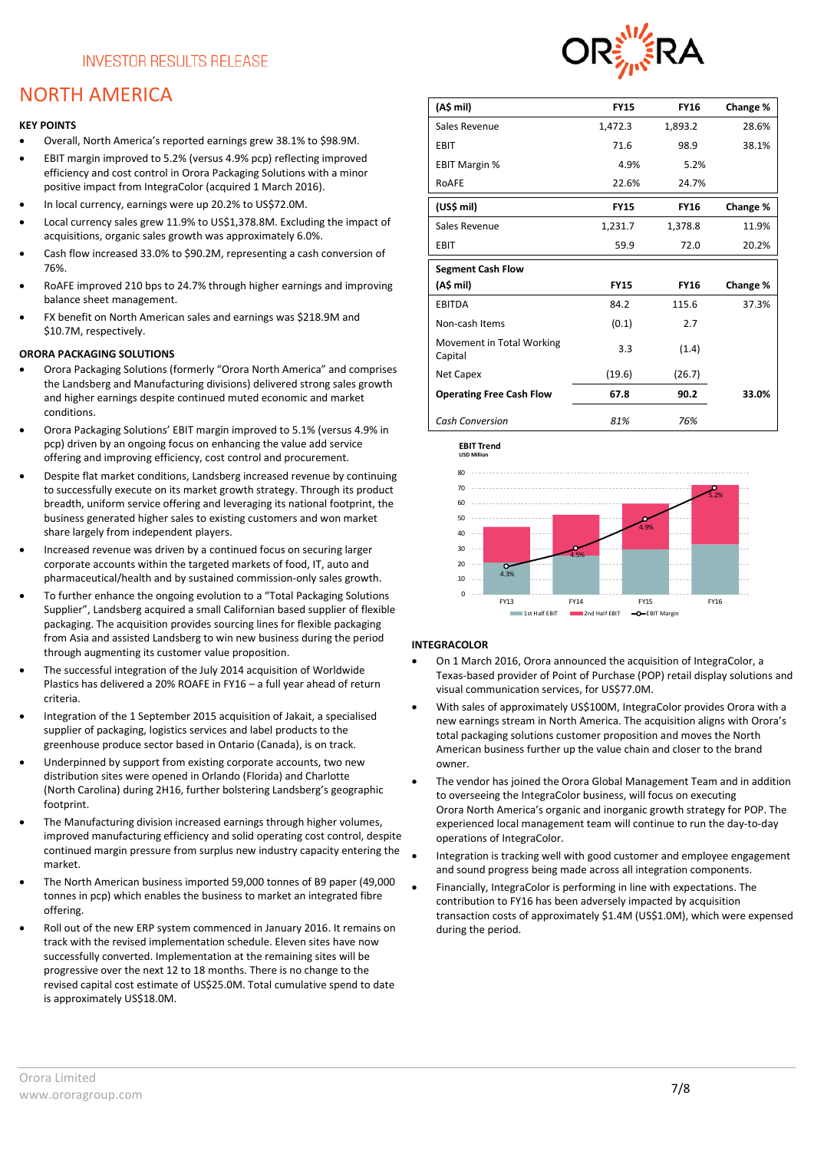# NORTH AMERICA

#### **KEY POINTS**

- Overall, North America's reported earnings grew 38.1% to \$98.9M.
- EBIT margin improved to 5.2% (versus 4.9% pcp) reflecting improved efficiency and cost control in Orora Packaging Solutions with a minor positive impact from IntegraColor (acquired 1 March 2016).
- In local currency, earnings were up 20.2% to US\$72.0M.
- Local currency sales grew 11.9% to US\$1,378.8M. Excluding the impact of acquisitions, organic sales growth was approximately 6.0%.
- Cash flow increased 33.0% to \$90.2M, representing a cash conversion of 76%.
- RoAFE improved 210 bps to 24.7% through higher earnings and improving balance sheet management.
- FX benefit on North American sales and earnings was \$218.9M and \$10.7M, respectively.

### **ORORA PACKAGING SOLUTIONS**

- Orora Packaging Solutions (formerly "Orora North America" and comprises the Landsberg and Manufacturing divisions) delivered strong sales growth and higher earnings despite continued muted economic and market conditions.
- Orora Packaging Solutions' EBIT margin improved to 5.1% (versus 4.9% in pcp) driven by an ongoing focus on enhancing the value add service offering and improving efficiency, cost control and procurement.
- Despite flat market conditions, Landsberg increased revenue by continuing to successfully execute on its market growth strategy. Through its product breadth, uniform service offering and leveraging its national footprint, the business generated higher sales to existing customers and won market share largely from independent players.
- Increased revenue was driven by a continued focus on securing larger corporate accounts within the targeted markets of food, IT, auto and pharmaceutical/health and by sustained commission-only sales growth.
- To further enhance the ongoing evolution to a "Total Packaging Solutions Supplier", Landsberg acquired a small Californian based supplier of flexible packaging. The acquisition provides sourcing lines for flexible packaging from Asia and assisted Landsberg to win new business during the period through augmenting its customer value proposition.
- The successful integration of the July 2014 acquisition of Worldwide Plastics has delivered a 20% ROAFE in FY16 – a full year ahead of return criteria.
- Integration of the 1 September 2015 acquisition of Jakait, a specialised supplier of packaging, logistics services and label products to the greenhouse produce sector based in Ontario (Canada), is on track.
- Underpinned by support from existing corporate accounts, two new distribution sites were opened in Orlando (Florida) and Charlotte (North Carolina) during 2H16, further bolstering Landsberg's geographic footprint.
- The Manufacturing division increased earnings through higher volumes, improved manufacturing efficiency and solid operating cost control, despite continued margin pressure from surplus new industry capacity entering the market.
- The North American business imported 59,000 tonnes of B9 paper (49,000 tonnes in pcp) which enables the business to market an integrated fibre offering.
- Roll out of the new ERP system commenced in January 2016. It remains on track with the revised implementation schedule. Eleven sites have now successfully converted. Implementation at the remaining sites will be progressive over the next 12 to 18 months. There is no change to the revised capital cost estimate of US\$25.0M. Total cumulative spend to date is approximately US\$18.0M.



| (A\$ mil)                            | <b>FY15</b> | <b>FY16</b> | Change % |
|--------------------------------------|-------------|-------------|----------|
| Sales Revenue                        | 1,472.3     | 1,893.2     | 28.6%    |
| <b>EBIT</b>                          | 71.6        | 98.9        | 38.1%    |
| <b>EBIT Margin %</b>                 | 4.9%        | 5.2%        |          |
| RoAFE                                | 22.6%       | 24.7%       |          |
| (US\$ mil)                           | <b>FY15</b> | <b>FY16</b> | Change % |
| Sales Revenue                        | 1,231.7     | 1,378.8     | 11.9%    |
| EBIT                                 | 59.9        | 72.0        | 20.2%    |
| <b>Segment Cash Flow</b>             |             |             |          |
| (A\$ mil)                            | <b>FY15</b> | <b>FY16</b> | Change % |
| <b>EBITDA</b>                        | 84.2        | 115.6       | 37.3%    |
| Non-cash Items                       | (0.1)       | 2.7         |          |
| Movement in Total Working<br>Capital | 3.3         | (1.4)       |          |
| Net Capex                            | (19.6)      | (26.7)      |          |
| <b>Operating Free Cash Flow</b>      | 67.8        | 90.2        | 33.0%    |
| <b>Cash Conversion</b>               | 81%         | 76%         |          |



### **INTEGRACOLOR**

- On 1 March 2016, Orora announced the acquisition of IntegraColor, a Texas-based provider of Point of Purchase (POP) retail display solutions and visual communication services, for US\$77.0M.
- With sales of approximately US\$100M, IntegraColor provides Orora with a new earnings stream in North America. The acquisition aligns with Orora's total packaging solutions customer proposition and moves the North American business further up the value chain and closer to the brand owner.
- The vendor has joined the Orora Global Management Team and in addition to overseeing the IntegraColor business, will focus on executing Orora North America's organic and inorganic growth strategy for POP. The experienced local management team will continue to run the day-to-day operations of IntegraColor.
- Integration is tracking well with good customer and employee engagement and sound progress being made across all integration components.
- Financially, IntegraColor is performing in line with expectations. The contribution to FY16 has been adversely impacted by acquisition transaction costs of approximately \$1.4M (US\$1.0M), which were expensed during the period.